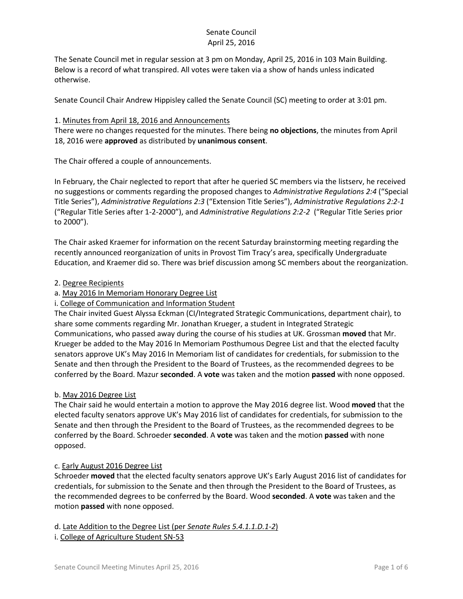The Senate Council met in regular session at 3 pm on Monday, April 25, 2016 in 103 Main Building. Below is a record of what transpired. All votes were taken via a show of hands unless indicated otherwise.

Senate Council Chair Andrew Hippisley called the Senate Council (SC) meeting to order at 3:01 pm.

#### 1. Minutes from April 18, 2016 and Announcements

There were no changes requested for the minutes. There being **no objections**, the minutes from April 18, 2016 were **approved** as distributed by **unanimous consent**.

The Chair offered a couple of announcements.

In February, the Chair neglected to report that after he queried SC members via the listserv, he received no suggestions or comments regarding the proposed changes to *Administrative Regulations 2:4* ("Special Title Series"), *Administrative Regulations 2:3* ("Extension Title Series"), *Administrative Regulations 2:2-1* ("Regular Title Series after 1-2-2000"), and *Administrative Regulations 2:2-2* ("Regular Title Series prior to 2000").

The Chair asked Kraemer for information on the recent Saturday brainstorming meeting regarding the recently announced reorganization of units in Provost Tim Tracy's area, specifically Undergraduate Education, and Kraemer did so. There was brief discussion among SC members about the reorganization.

# 2. Degree Recipients

# a. May 2016 In Memoriam Honorary Degree List

# i. College of Communication and Information Student

The Chair invited Guest Alyssa Eckman (CI/Integrated Strategic Communications, department chair), to share some comments regarding Mr. Jonathan Krueger, a student in Integrated Strategic Communications, who passed away during the course of his studies at UK. Grossman **moved** that Mr. Krueger be added to the May 2016 In Memoriam Posthumous Degree List and that the elected faculty senators approve UK's May 2016 In Memoriam list of candidates for credentials, for submission to the Senate and then through the President to the Board of Trustees, as the recommended degrees to be conferred by the Board. Mazur **seconded**. A **vote** was taken and the motion **passed** with none opposed.

# b. May 2016 Degree List

The Chair said he would entertain a motion to approve the May 2016 degree list. Wood **moved** that the elected faculty senators approve UK's May 2016 list of candidates for credentials, for submission to the Senate and then through the President to the Board of Trustees, as the recommended degrees to be conferred by the Board. Schroeder **seconded**. A **vote** was taken and the motion **passed** with none opposed.

# c. Early August 2016 Degree List

Schroeder **moved** that the elected faculty senators approve UK's Early August 2016 list of candidates for credentials, for submission to the Senate and then through the President to the Board of Trustees, as the recommended degrees to be conferred by the Board. Wood **seconded**. A **vote** was taken and the motion **passed** with none opposed.

d. Late Addition to the Degree List (per *Senate Rules 5.4.1.1.D.1-2*)

i. College of Agriculture Student SN-53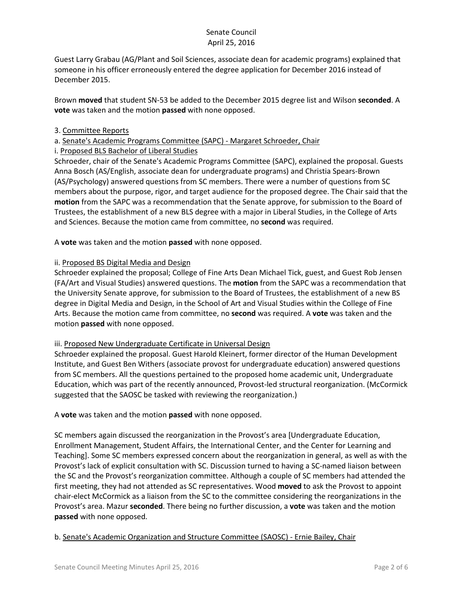Guest Larry Grabau (AG/Plant and Soil Sciences, associate dean for academic programs) explained that someone in his officer erroneously entered the degree application for December 2016 instead of December 2015.

Brown **moved** that student SN-53 be added to the December 2015 degree list and Wilson **seconded**. A **vote** was taken and the motion **passed** with none opposed.

# 3. Committee Reports

# a. Senate's Academic Programs Committee (SAPC) - Margaret Schroeder, Chair

# i. Proposed BLS Bachelor of Liberal Studies

Schroeder, chair of the Senate's Academic Programs Committee (SAPC), explained the proposal. Guests Anna Bosch (AS/English, associate dean for undergraduate programs) and Christia Spears-Brown (AS/Psychology) answered questions from SC members. There were a number of questions from SC members about the purpose, rigor, and target audience for the proposed degree. The Chair said that the **motion** from the SAPC was a recommendation that the Senate approve, for submission to the Board of Trustees, the establishment of a new BLS degree with a major in Liberal Studies, in the College of Arts and Sciences. Because the motion came from committee, no **second** was required.

A **vote** was taken and the motion **passed** with none opposed.

# ii. Proposed BS Digital Media and Design

Schroeder explained the proposal; College of Fine Arts Dean Michael Tick, guest, and Guest Rob Jensen (FA/Art and Visual Studies) answered questions. The **motion** from the SAPC was a recommendation that the University Senate approve, for submission to the Board of Trustees, the establishment of a new BS degree in Digital Media and Design, in the School of Art and Visual Studies within the College of Fine Arts. Because the motion came from committee, no **second** was required. A **vote** was taken and the motion **passed** with none opposed.

# iii. Proposed New Undergraduate Certificate in Universal Design

Schroeder explained the proposal. Guest Harold Kleinert, former director of the Human Development Institute, and Guest Ben Withers (associate provost for undergraduate education) answered questions from SC members. All the questions pertained to the proposed home academic unit, Undergraduate Education, which was part of the recently announced, Provost-led structural reorganization. (McCormick suggested that the SAOSC be tasked with reviewing the reorganization.)

A **vote** was taken and the motion **passed** with none opposed.

SC members again discussed the reorganization in the Provost's area [Undergraduate Education, Enrollment Management, Student Affairs, the International Center, and the Center for Learning and Teaching]. Some SC members expressed concern about the reorganization in general, as well as with the Provost's lack of explicit consultation with SC. Discussion turned to having a SC-named liaison between the SC and the Provost's reorganization committee. Although a couple of SC members had attended the first meeting, they had not attended as SC representatives. Wood **moved** to ask the Provost to appoint chair-elect McCormick as a liaison from the SC to the committee considering the reorganizations in the Provost's area. Mazur **seconded**. There being no further discussion, a **vote** was taken and the motion **passed** with none opposed.

# b. Senate's Academic Organization and Structure Committee (SAOSC) - Ernie Bailey, Chair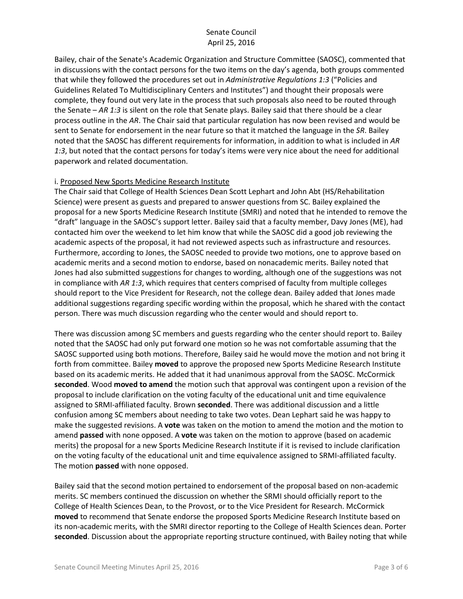Bailey, chair of the Senate's Academic Organization and Structure Committee (SAOSC), commented that in discussions with the contact persons for the two items on the day's agenda, both groups commented that while they followed the procedures set out in *Administrative Regulations 1:3* ("Policies and Guidelines Related To Multidisciplinary Centers and Institutes") and thought their proposals were complete, they found out very late in the process that such proposals also need to be routed through the Senate – *AR 1:3* is silent on the role that Senate plays. Bailey said that there should be a clear process outline in the *AR*. The Chair said that particular regulation has now been revised and would be sent to Senate for endorsement in the near future so that it matched the language in the *SR*. Bailey noted that the SAOSC has different requirements for information, in addition to what is included in *AR 1:3*, but noted that the contact persons for today's items were very nice about the need for additional paperwork and related documentation.

#### i. Proposed New Sports Medicine Research Institute

The Chair said that College of Health Sciences Dean Scott Lephart and John Abt (HS/Rehabilitation Science) were present as guests and prepared to answer questions from SC. Bailey explained the proposal for a new Sports Medicine Research Institute (SMRI) and noted that he intended to remove the "draft" language in the SAOSC's support letter. Bailey said that a faculty member, Davy Jones (ME), had contacted him over the weekend to let him know that while the SAOSC did a good job reviewing the academic aspects of the proposal, it had not reviewed aspects such as infrastructure and resources. Furthermore, according to Jones, the SAOSC needed to provide two motions, one to approve based on academic merits and a second motion to endorse, based on nonacademic merits. Bailey noted that Jones had also submitted suggestions for changes to wording, although one of the suggestions was not in compliance with *AR 1:3*, which requires that centers comprised of faculty from multiple colleges should report to the Vice President for Research, not the college dean. Bailey added that Jones made additional suggestions regarding specific wording within the proposal, which he shared with the contact person. There was much discussion regarding who the center would and should report to.

There was discussion among SC members and guests regarding who the center should report to. Bailey noted that the SAOSC had only put forward one motion so he was not comfortable assuming that the SAOSC supported using both motions. Therefore, Bailey said he would move the motion and not bring it forth from committee. Bailey **moved** to approve the proposed new Sports Medicine Research Institute based on its academic merits. He added that it had unanimous approval from the SAOSC. McCormick **seconded**. Wood **moved to amend** the motion such that approval was contingent upon a revision of the proposal to include clarification on the voting faculty of the educational unit and time equivalence assigned to SRMI-affiliated faculty. Brown **seconded**. There was additional discussion and a little confusion among SC members about needing to take two votes. Dean Lephart said he was happy to make the suggested revisions. A **vote** was taken on the motion to amend the motion and the motion to amend **passed** with none opposed. A **vote** was taken on the motion to approve (based on academic merits) the proposal for a new Sports Medicine Research Institute if it is revised to include clarification on the voting faculty of the educational unit and time equivalence assigned to SRMI-affiliated faculty. The motion **passed** with none opposed.

Bailey said that the second motion pertained to endorsement of the proposal based on non-academic merits. SC members continued the discussion on whether the SRMI should officially report to the College of Health Sciences Dean, to the Provost, or to the Vice President for Research. McCormick **moved** to recommend that Senate endorse the proposed Sports Medicine Research Institute based on its non-academic merits, with the SMRI director reporting to the College of Health Sciences dean. Porter **seconded**. Discussion about the appropriate reporting structure continued, with Bailey noting that while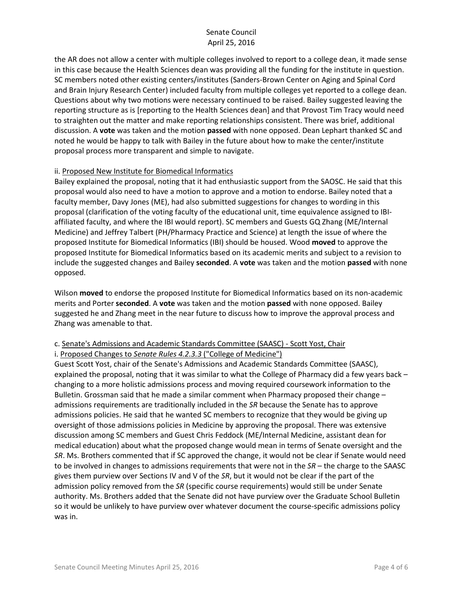the AR does not allow a center with multiple colleges involved to report to a college dean, it made sense in this case because the Health Sciences dean was providing all the funding for the institute in question. SC members noted other existing centers/institutes (Sanders-Brown Center on Aging and Spinal Cord and Brain Injury Research Center) included faculty from multiple colleges yet reported to a college dean. Questions about why two motions were necessary continued to be raised. Bailey suggested leaving the reporting structure as is [reporting to the Health Sciences dean] and that Provost Tim Tracy would need to straighten out the matter and make reporting relationships consistent. There was brief, additional discussion. A **vote** was taken and the motion **passed** with none opposed. Dean Lephart thanked SC and noted he would be happy to talk with Bailey in the future about how to make the center/institute proposal process more transparent and simple to navigate.

#### ii. Proposed New Institute for Biomedical Informatics

Bailey explained the proposal, noting that it had enthusiastic support from the SAOSC. He said that this proposal would also need to have a motion to approve and a motion to endorse. Bailey noted that a faculty member, Davy Jones (ME), had also submitted suggestions for changes to wording in this proposal (clarification of the voting faculty of the educational unit, time equivalence assigned to IBIaffiliated faculty, and where the IBI would report). SC members and Guests GQ Zhang (ME/Internal Medicine) and Jeffrey Talbert (PH/Pharmacy Practice and Science) at length the issue of where the proposed Institute for Biomedical Informatics (IBI) should be housed. Wood **moved** to approve the proposed Institute for Biomedical Informatics based on its academic merits and subject to a revision to include the suggested changes and Bailey **seconded**. A **vote** was taken and the motion **passed** with none opposed.

Wilson **moved** to endorse the proposed Institute for Biomedical Informatics based on its non-academic merits and Porter **seconded**. A **vote** was taken and the motion **passed** with none opposed. Bailey suggested he and Zhang meet in the near future to discuss how to improve the approval process and Zhang was amenable to that.

#### c. Senate's Admissions and Academic Standards Committee (SAASC) - Scott Yost, Chair

#### i. Proposed Changes to *Senate Rules 4.2.3.3* ("College of Medicine")

Guest Scott Yost, chair of the Senate's Admissions and Academic Standards Committee (SAASC), explained the proposal, noting that it was similar to what the College of Pharmacy did a few years back – changing to a more holistic admissions process and moving required coursework information to the Bulletin. Grossman said that he made a similar comment when Pharmacy proposed their change – admissions requirements are traditionally included in the *SR* because the Senate has to approve admissions policies. He said that he wanted SC members to recognize that they would be giving up oversight of those admissions policies in Medicine by approving the proposal. There was extensive discussion among SC members and Guest Chris Feddock (ME/Internal Medicine, assistant dean for medical education) about what the proposed change would mean in terms of Senate oversight and the *SR*. Ms. Brothers commented that if SC approved the change, it would not be clear if Senate would need to be involved in changes to admissions requirements that were not in the *SR* – the charge to the SAASC gives them purview over Sections IV and V of the *SR*, but it would not be clear if the part of the admission policy removed from the *SR* (specific course requirements) would still be under Senate authority. Ms. Brothers added that the Senate did not have purview over the Graduate School Bulletin so it would be unlikely to have purview over whatever document the course-specific admissions policy was in.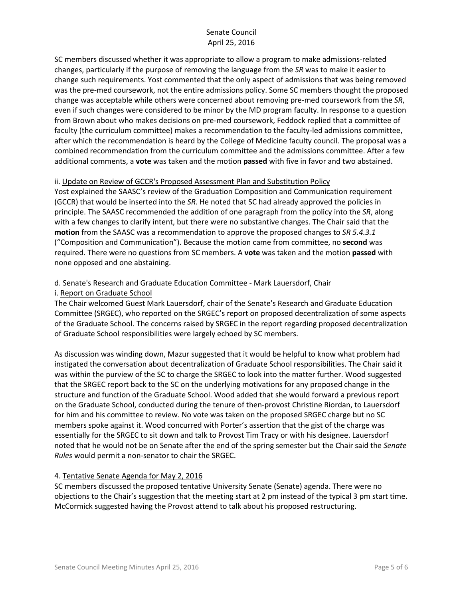SC members discussed whether it was appropriate to allow a program to make admissions-related changes, particularly if the purpose of removing the language from the *SR* was to make it easier to change such requirements. Yost commented that the only aspect of admissions that was being removed was the pre-med coursework, not the entire admissions policy. Some SC members thought the proposed change was acceptable while others were concerned about removing pre-med coursework from the *SR*, even if such changes were considered to be minor by the MD program faculty. In response to a question from Brown about who makes decisions on pre-med coursework, Feddock replied that a committee of faculty (the curriculum committee) makes a recommendation to the faculty-led admissions committee, after which the recommendation is heard by the College of Medicine faculty council. The proposal was a combined recommendation from the curriculum committee and the admissions committee. After a few additional comments, a **vote** was taken and the motion **passed** with five in favor and two abstained.

# ii. Update on Review of GCCR's Proposed Assessment Plan and Substitution Policy

Yost explained the SAASC's review of the Graduation Composition and Communication requirement (GCCR) that would be inserted into the *SR*. He noted that SC had already approved the policies in principle. The SAASC recommended the addition of one paragraph from the policy into the *SR*, along with a few changes to clarify intent, but there were no substantive changes. The Chair said that the **motion** from the SAASC was a recommendation to approve the proposed changes to *SR 5.4.3.1*  ("Composition and Communication"). Because the motion came from committee, no **second** was required. There were no questions from SC members. A **vote** was taken and the motion **passed** with none opposed and one abstaining.

# d. Senate's Research and Graduate Education Committee - Mark Lauersdorf, Chair

# i. Report on Graduate School

The Chair welcomed Guest Mark Lauersdorf, chair of the Senate's Research and Graduate Education Committee (SRGEC), who reported on the SRGEC's report on proposed decentralization of some aspects of the Graduate School. The concerns raised by SRGEC in the report regarding proposed decentralization of Graduate School responsibilities were largely echoed by SC members.

As discussion was winding down, Mazur suggested that it would be helpful to know what problem had instigated the conversation about decentralization of Graduate School responsibilities. The Chair said it was within the purview of the SC to charge the SRGEC to look into the matter further. Wood suggested that the SRGEC report back to the SC on the underlying motivations for any proposed change in the structure and function of the Graduate School. Wood added that she would forward a previous report on the Graduate School, conducted during the tenure of then-provost Christine Riordan, to Lauersdorf for him and his committee to review. No vote was taken on the proposed SRGEC charge but no SC members spoke against it. Wood concurred with Porter's assertion that the gist of the charge was essentially for the SRGEC to sit down and talk to Provost Tim Tracy or with his designee. Lauersdorf noted that he would not be on Senate after the end of the spring semester but the Chair said the *Senate Rules* would permit a non-senator to chair the SRGEC.

# 4. Tentative Senate Agenda for May 2, 2016

SC members discussed the proposed tentative University Senate (Senate) agenda. There were no objections to the Chair's suggestion that the meeting start at 2 pm instead of the typical 3 pm start time. McCormick suggested having the Provost attend to talk about his proposed restructuring.